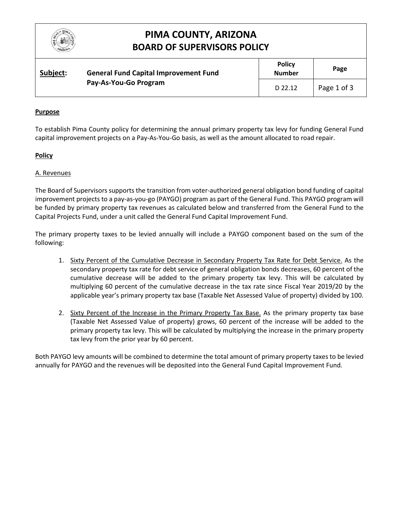

## **PIMA COUNTY, ARIZONA BOARD OF SUPERVISORS POLICY**

| Subject: | <b>General Fund Capital Improvement Fund</b><br>Pay-As-You-Go Program | <b>Policy</b><br><b>Number</b> | Page        |
|----------|-----------------------------------------------------------------------|--------------------------------|-------------|
|          |                                                                       | D 22.12                        | Page 1 of 3 |

### **Purpose**

To establish Pima County policy for determining the annual primary property tax levy for funding General Fund capital improvement projects on a Pay-As-You-Go basis, as well as the amount allocated to road repair.

#### **Policy**

#### A. Revenues

The Board of Supervisors supports the transition from voter-authorized general obligation bond funding of capital improvement projects to a pay-as-you-go (PAYGO) program as part of the General Fund. This PAYGO program will be funded by primary property tax revenues as calculated below and transferred from the General Fund to the Capital Projects Fund, under a unit called the General Fund Capital Improvement Fund.

The primary property taxes to be levied annually will include a PAYGO component based on the sum of the following:

- 1. Sixty Percent of the Cumulative Decrease in Secondary Property Tax Rate for Debt Service. As the secondary property tax rate for debt service of general obligation bonds decreases, 60 percent of the cumulative decrease will be added to the primary property tax levy. This will be calculated by multiplying 60 percent of the cumulative decrease in the tax rate since Fiscal Year 2019/20 by the applicable year's primary property tax base (Taxable Net Assessed Value of property) divided by 100.
- 2. Sixty Percent of the Increase in the Primary Property Tax Base. As the primary property tax base (Taxable Net Assessed Value of property) grows, 60 percent of the increase will be added to the primary property tax levy. This will be calculated by multiplying the increase in the primary property tax levy from the prior year by 60 percent.

Both PAYGO levy amounts will be combined to determine the total amount of primary property taxes to be levied annually for PAYGO and the revenues will be deposited into the General Fund Capital Improvement Fund.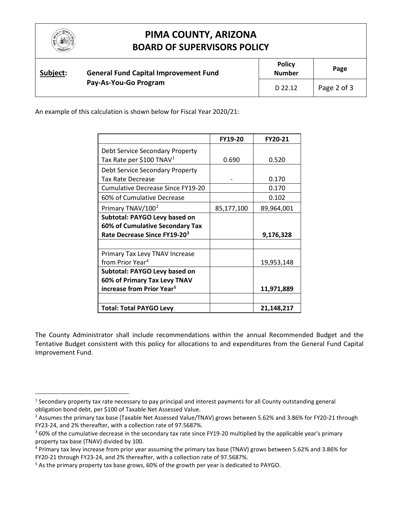

 $\overline{a}$ 

# **PIMA COUNTY, ARIZONA BOARD OF SUPERVISORS POLICY**

| Subject: |  | <b>General Fund Capital Improvement Fund</b><br>Pay-As-You-Go Program | <b>Policy</b><br><b>Number</b> | Page        |
|----------|--|-----------------------------------------------------------------------|--------------------------------|-------------|
|          |  |                                                                       | D 22.12                        | Page 2 of 3 |

An example of this calculation is shown below for Fiscal Year 2020/21:

|                                       | FY19-20    | FY20-21    |
|---------------------------------------|------------|------------|
| Debt Service Secondary Property       |            |            |
| Tax Rate per \$100 TNAV <sup>1</sup>  | 0.690      | 0.520      |
| Debt Service Secondary Property       |            |            |
| Tax Rate Decrease                     |            | 0.170      |
| Cumulative Decrease Since FY19-20     |            | 0.170      |
| 60% of Cumulative Decrease            |            | 0.102      |
| Primary TNAV/100 <sup>2</sup>         | 85,177,100 | 89,964,001 |
| Subtotal: PAYGO Levy based on         |            |            |
| 60% of Cumulative Secondary Tax       |            |            |
| Rate Decrease Since FY19-203          |            | 9,176,328  |
|                                       |            |            |
| Primary Tax Levy TNAV Increase        |            |            |
| from Prior Year <sup>4</sup>          |            | 19,953,148 |
| Subtotal: PAYGO Levy based on         |            |            |
| 60% of Primary Tax Levy TNAV          |            |            |
| increase from Prior Year <sup>5</sup> |            | 11,971,889 |
|                                       |            |            |
| <b>Total: Total PAYGO Levy</b>        |            | 21,148,217 |

The County Administrator shall include recommendations within the annual Recommended Budget and the Tentative Budget consistent with this policy for allocations to and expenditures from the General Fund Capital Improvement Fund.

<span id="page-1-0"></span><sup>&</sup>lt;sup>1</sup> Secondary property tax rate necessary to pay principal and interest payments for all County outstanding general obligation bond debt, per \$100 of Taxable Net Assessed Value.

<span id="page-1-1"></span><sup>&</sup>lt;sup>2</sup> Assumes the primary tax base (Taxable Net Assessed Value/TNAV) grows between 5.62% and 3.86% for FY20-21 through FY23-24, and 2% thereafter, with a collection rate of 97.5687%.

<span id="page-1-2"></span> $360\%$  of the cumulative decrease in the secondary tax rate since FY19-20 multiplied by the applicable year's primary property tax base (TNAV) divided by 100.

<span id="page-1-3"></span><sup>4</sup> Primary tax levy increase from prior year assuming the primary tax base (TNAV) grows between 5.62% and 3.86% for FY20-21 through FY23-24, and 2% thereafter, with a collection rate of 97.5687%.

<span id="page-1-4"></span><sup>5</sup> As the primary property tax base grows, 60% of the growth per year is dedicated to PAYGO.